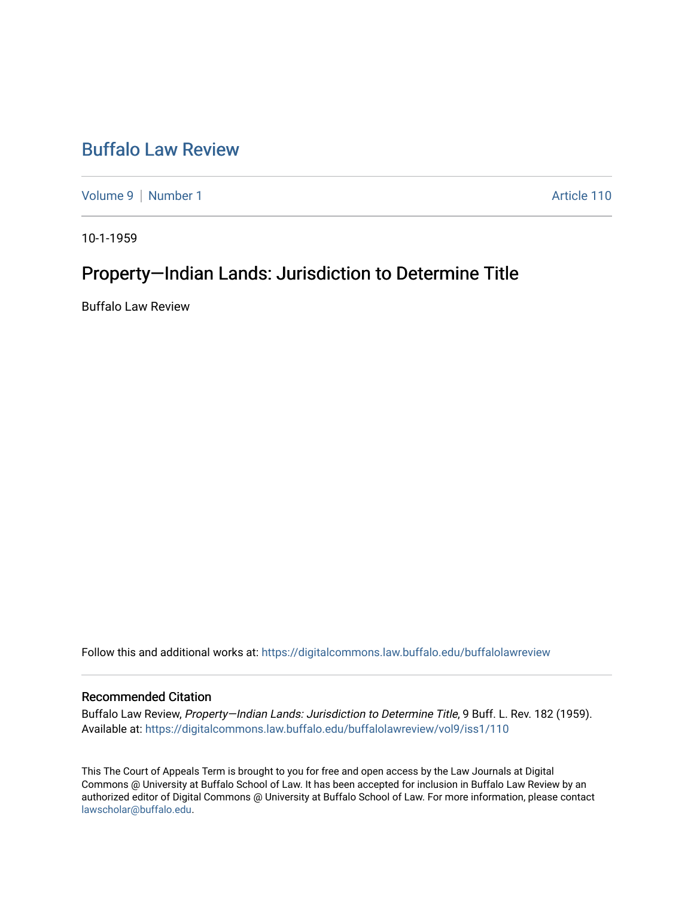## [Buffalo Law Review](https://digitalcommons.law.buffalo.edu/buffalolawreview)

[Volume 9](https://digitalcommons.law.buffalo.edu/buffalolawreview/vol9) | [Number 1](https://digitalcommons.law.buffalo.edu/buffalolawreview/vol9/iss1) Article 110

10-1-1959

# Property—Indian Lands: Jurisdiction to Determine Title

Buffalo Law Review

Follow this and additional works at: [https://digitalcommons.law.buffalo.edu/buffalolawreview](https://digitalcommons.law.buffalo.edu/buffalolawreview?utm_source=digitalcommons.law.buffalo.edu%2Fbuffalolawreview%2Fvol9%2Fiss1%2F110&utm_medium=PDF&utm_campaign=PDFCoverPages) 

## Recommended Citation

Buffalo Law Review, Property-Indian Lands: Jurisdiction to Determine Title, 9 Buff. L. Rev. 182 (1959). Available at: [https://digitalcommons.law.buffalo.edu/buffalolawreview/vol9/iss1/110](https://digitalcommons.law.buffalo.edu/buffalolawreview/vol9/iss1/110?utm_source=digitalcommons.law.buffalo.edu%2Fbuffalolawreview%2Fvol9%2Fiss1%2F110&utm_medium=PDF&utm_campaign=PDFCoverPages)

This The Court of Appeals Term is brought to you for free and open access by the Law Journals at Digital Commons @ University at Buffalo School of Law. It has been accepted for inclusion in Buffalo Law Review by an authorized editor of Digital Commons @ University at Buffalo School of Law. For more information, please contact [lawscholar@buffalo.edu](mailto:lawscholar@buffalo.edu).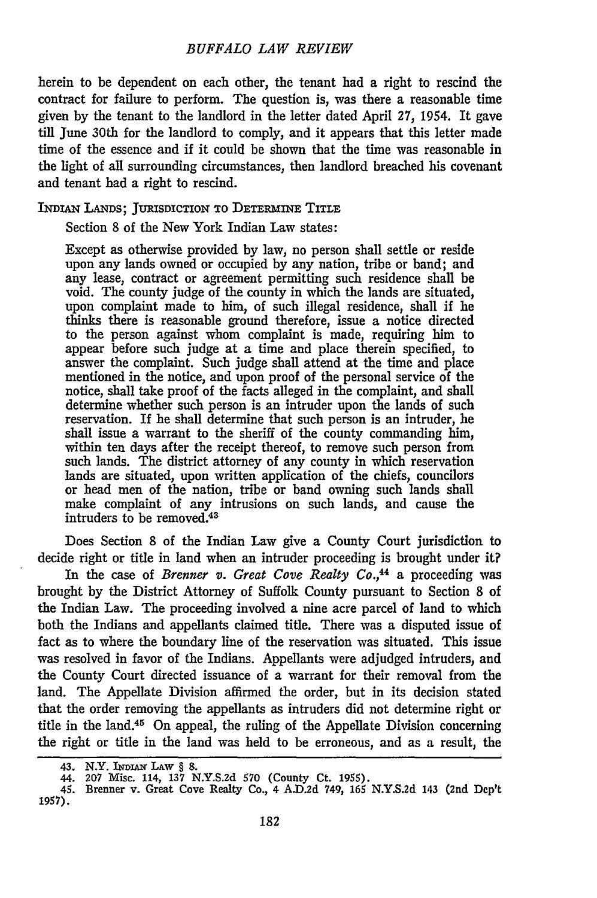#### *BUFFALO LAW REVIEW*

herein to be dependent on each other, the tenant had a right to rescind the contract for failure to perform. The question is, was there a reasonable time given by the tenant to the landlord in the letter dated April 27, 1954. It gave till June 30th for the landlord to comply, and it appears that this letter made time of the essence and if it could be shown that the time was reasonable in the light of all surrounding circumstances, then landlord breached his covenant and tenant had a right to rescind.

### INDIAN **LANDS;** JURISDICTION **TO** DETERmiNE TITLE

Section **8** of the New York Indian Law states:

Except as otherwise provided by law, no person shall settle or reside upon any lands owned or occupied by any nation, tribe or band; and any lease, contract or agreement permitting such residence shall be void. The county judge of the county in which the lands are situated, upon complaint made to him, of such illegal residence, shall if he thinks there is reasonable ground therefore, issue a notice directed to the person against whom complaint is made, requiring him to appear before such judge at a time and place therein specified, to answer the complaint. Such judge shall attend at the time and place mentioned in the notice, and upon proof of the personal service of the notice, shall take proof of the facts alleged in the complaint, and shall determine whether such person is an intruder upon the lands of such reservation. If he shall determine that such person is an intruder, he shall issue a warrant to the sheriff of the county commanding him, within ten days after the receipt thereof, to remove such person from such lands. The district attorney of any county in which reservation lands are situated, upon written application of the chiefs, councilors or head men of the nation, tribe or band owning such lands shall make complaint of any intrusions on such lands, and cause the intruders to be removed.<sup>43</sup>

Does Section 8 of the Indian Law give a County Court jurisdiction to decide right or title in land when an intruder proceeding is brought under it?

In the case of *Brenner v. Great Cove Realty Co.,44* a proceeding was brought by the District Attorney of Suffolk County pursuant to Section 8 of the Indian Law. The proceeding involved a nine acre parcel of land to which both the Indians and appellants claimed title. There was a disputed issue of fact as to where the boundary line of the reservation was situated. This issue was resolved in favor of the Indians. Appellants were adjudged intruders, and the County Court directed issuance of a warrant for their removal from the land. The Appellate Division affirmed the order, but in its decision stated that the order removing the appellants as intruders did not determine right or title in the land.45 On appeal, the ruling of the Appellate Division concerning the right or title in the land was held to be erroneous, and as a result, the

<sup>43.</sup> N.Y. INDIAN LAW  $\S$  8.

**<sup>44. 207</sup>** Misc. 114, **137** N.Y.S.2d 570 (County Ct. **1955).**

<sup>45.</sup> Brenner v. Great Cove Realty Co., 4 A.D.2d 749, 165 N.Y.S.2d 143 (2nd Dep' 1957).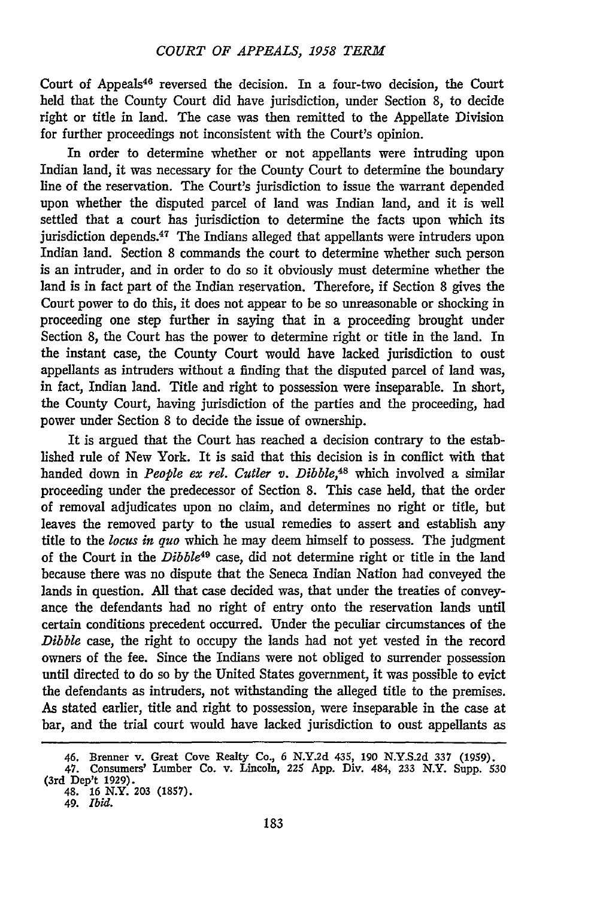Court of Appeals<sup>46</sup> reversed the decision. In a four-two decision, the Court held that the County Court did have jurisdiction, under Section 8, to decide right or title in land. The case was then remitted to the Appellate Division for further proceedings not inconsistent with the Court's opinion.

In order to determine whether or not appellants were intruding upon Indian land, it was necessary for the County Court to determine the boundary line of the reservation. The Court's jurisdiction to issue the warrant depended upon whether the disputed parcel of land was Indian land, and it is well settled that a court has jurisdiction to determine the facts upon which its jurisdiction depends.<sup>47</sup> The Indians alleged that appellants were intruders upon Indian land. Section 8 commands the court to determine whether such person is an intruder, and in order to do so it obviously must determine whether the land is in fact part of the Indian reservation. Therefore, if Section 8 gives the Court power to do this, it does not appear to be so unreasonable or shocking in proceeding one step further in saying that in a proceeding brought under Section 8, the Court has the power to determine right or title in the land. In the instant case, the County Court would have lacked jurisdiction to oust appellants as intruders without a finding that the disputed parcel of land was, in fact, Indian land. Title and right to possession were inseparable. In short, the County Court, having jurisdiction of the parties and the proceeding, had power under Section 8 to decide the issue of ownership.

It is argued that the Court has reached a decision contrary to the established rule of New York. It is said that this decision is in conflict with that handed down in *People ex rel. Cutler v. Dibble,48* which involved a similar proceeding under the predecessor of Section 8. This case held, that the order of removal adjudicates upon no claim, and determines no right or title, but leaves the removed party to the usual remedies to assert and establish any title to the *locus in quo* which he may deem himself to possess. The judgment of the Court in the *Dibble49* case, did not determine right or title in the land because there was no dispute that the Seneca Indian Nation had conveyed the lands in question. **All** that case decided was, that under the treaties of conveyance the defendants had no right of entry onto the reservation lands until certain conditions precedent occurred. Under the peculiar circumstances of the *Dibble* case, the right to occupy the lands had not yet vested in the record owners of the fee. Since the Indians were not obliged to surrender possession until directed to do so by the United States government, it was possible to evict the defendants as intruders, not withstanding the alleged title to the premises. As stated earlier, title and right to possession, were inseparable in the case at bar, and the trial court would have lacked jurisdiction to oust appellants as

<sup>46.</sup> Brenner v. Great Cove Realty Co., 6 N.Y.2d 435, 190 N.Y.S.2d 337 (1959).

<sup>47.</sup> Consumers' Lumber Co. v. Lincoln, 225 App. Div. 484, 233 N.Y. Supp. 530 (3rd Dep't 1929). 48. **16** N.Y. **203 (1857).** 49. *Ibid.*